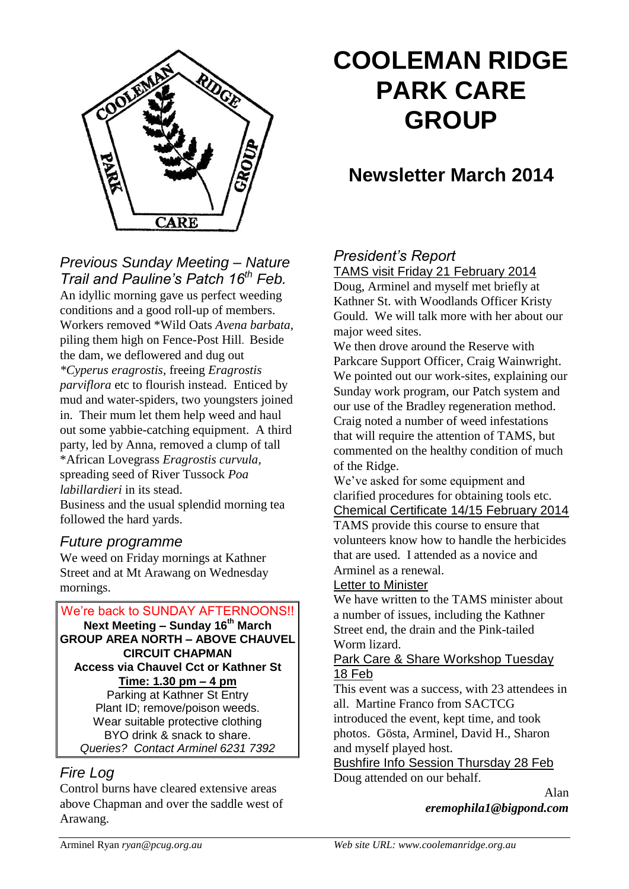

# **COOLEMAN RIDGE PARK CARE GROUP**

## **Newsletter March 2014**

## *Previous Sunday Meeting – Nature Trail and Pauline's Patch 16th Feb.*

An idyllic morning gave us perfect weeding conditions and a good roll-up of members. Workers removed \*Wild Oats *Avena barbata*, piling them high on Fence-Post Hill. Beside the dam, we deflowered and dug out *\*Cyperus eragrostis*, freeing *Eragrostis parviflora* etc to flourish instead. Enticed by mud and water-spiders, two youngsters joined in. Their mum let them help weed and haul out some yabbie-catching equipment. A third party, led by Anna, removed a clump of tall \*African Lovegrass *Eragrostis curvula*, spreading seed of River Tussock *Poa labillardieri* in its stead. Business and the usual splendid morning tea followed the hard yards.

## *Future programme*

We weed on Friday mornings at Kathner Street and at Mt Arawang on Wednesday mornings.



## *Fire Log*

Control burns have cleared extensive areas above Chapman and over the saddle west of Arawang.

## *President's Report*

TAMS visit Friday 21 February 2014

Doug, Arminel and myself met briefly at Kathner St. with Woodlands Officer Kristy Gould. We will talk more with her about our major weed sites.

We then drove around the Reserve with Parkcare Support Officer, Craig Wainwright. We pointed out our work-sites, explaining our Sunday work program, our Patch system and our use of the Bradley regeneration method. Craig noted a number of weed infestations that will require the attention of TAMS, but commented on the healthy condition of much of the Ridge.

We've asked for some equipment and clarified procedures for obtaining tools etc. Chemical Certificate 14/15 February 2014

TAMS provide this course to ensure that volunteers know how to handle the herbicides that are used. I attended as a novice and Arminel as a renewal.

#### Letter to Minister

We have written to the TAMS minister about a number of issues, including the Kathner Street end, the drain and the Pink-tailed Worm lizard.

#### Park Care & Share Workshop Tuesday 18 Feb

This event was a success, with 23 attendees in all. Martine Franco from SACTCG introduced the event, kept time, and took photos. Gösta, Arminel, David H., Sharon and myself played host.

Bushfire Info Session Thursday 28 Feb Doug attended on our behalf.

> Alan *eremophila1@bigpond.com*